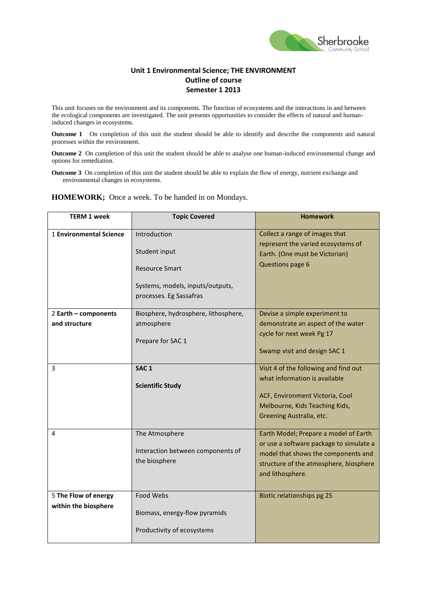

## **Unit 1 Environmental Science; THE ENVIRONMENT Outline of course Semester 1 2013**

This unit focuses on the environment and its components. The function of ecosystems and the interactions in and between the ecological components are investigated. The unit presents opportunities to consider the effects of natural and humaninduced changes in ecosystems.

**Outcome 1** On completion of this unit the student should be able to identify and describe the components and natural processes within the environment.

**Outcome 2** On completion of this unit the student should be able to analyse one human-induced environmental change and options for remediation.

**Outcome 3** On completion of this unit the student should be able to explain the flow of energy, nutrient exchange and environmental changes in ecosystems.

**HOMEWORK;** Once a week. To be handed in on Mondays.

| <b>TERM 1 week</b>      | <b>Topic Covered</b>                               | <b>Homework</b>                                            |
|-------------------------|----------------------------------------------------|------------------------------------------------------------|
| 1 Environmental Science | Introduction                                       | Collect a range of images that                             |
|                         |                                                    | represent the varied ecosystems of                         |
|                         | Student input                                      | Earth. (One must be Victorian)                             |
|                         | <b>Resource Smart</b>                              | Questions page 6                                           |
|                         | Systems, models, inputs/outputs,                   |                                                            |
|                         | processes. Eg Sassafras                            |                                                            |
| 2 Earth - components    | Biosphere, hydrosphere, lithosphere,               | Devise a simple experiment to                              |
| and structure           | atmosphere                                         | demonstrate an aspect of the water                         |
|                         | Prepare for SAC 1                                  | cycle for next week Pg 17                                  |
|                         |                                                    | Swamp visit and design SAC 1                               |
|                         |                                                    |                                                            |
| 3                       | SAC <sub>1</sub>                                   | Visit 4 of the following and find out                      |
|                         | <b>Scientific Study</b>                            | what information is available                              |
|                         |                                                    | ACF, Environment Victoria, Cool                            |
|                         |                                                    | Melbourne, Kids Teaching Kids,                             |
|                         |                                                    | Greening Australia, etc.                                   |
| 4                       | The Atmosphere                                     | Earth Model; Prepare a model of Earth                      |
|                         |                                                    | or use a software package to simulate a                    |
|                         | Interaction between components of<br>the biosphere | model that shows the components and                        |
|                         |                                                    | structure of the atmosphere, biosphere<br>and lithosphere. |
|                         |                                                    |                                                            |
| 5 The Flow of energy    | Food Webs                                          | Biotic relationships pg 25                                 |
| within the biosphere    |                                                    |                                                            |
|                         | Biomass, energy-flow pyramids                      |                                                            |
|                         | Productivity of ecosystems                         |                                                            |
|                         |                                                    |                                                            |